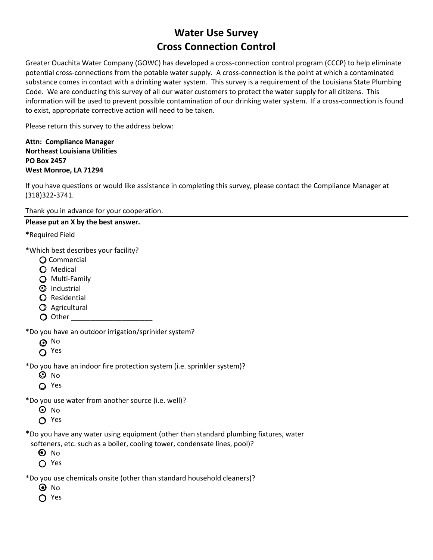## **Water Use Survey Cross Connection Control**

Greater Ouachita Water Company (GOWC) has developed a cross-connection control program (CCCP) to help eliminate potential cross-connections from the potable water supply. A cross-connection is the point at which a contaminated substance comes in contact with a drinking water system. This survey is a requirement of the Louisiana State Plumbing Code. We are conducting this survey of all our water customers to protect the water supply for all citizens. This information will be used to prevent possible contamination of our drinking water system. If a cross-connection is found to exist, appropriate corrective action will need to be taken.

Please return this survey to the address below:

**Attn: Compliance Manager Northeast Louisiana Utilities PO Box 2457 West Monroe, LA 71294**

If you have questions or would like assistance in completing this survey, please contact the Compliance Manager at (318)322-3741.

Thank you in advance for your cooperation.

## **Please put an X by the best answer.**

**\***Required Field

\*Which best describes your facility?

- Commercial
- Medical
- Multi-Family
- $\mathfrak D$  Industrial
- **Q** Residential
- Agricultural
- $\bigcirc$  Other

\*Do you have an outdoor irrigation/sprinkler system?

ა<br>ა

O Yes

\*Do you have an indoor fire protection system (i.e. sprinkler system)?

- ጋ No
- Yes

\*Do you use water from another source (i.e. well)?

- D No
- ∩ Yes

\*Do you have any water using equipment (other than standard plumbing fixtures, water

softeners, etc. such as a boiler, cooling tower, condensate lines, pool)?

- D No
- Yes

\*Do you use chemicals onsite (other than standard household cleaners)?

- No ●
- O Yes